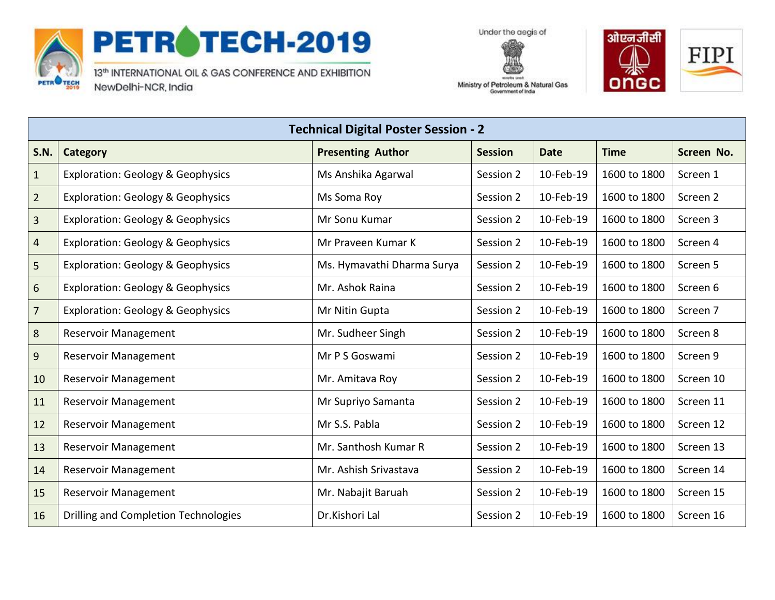

## PETROTECH-2019

13th INTERNATIONAL OIL & GAS CONFERENCE AND EXHIBITION NewDelhi-NCR, India





Ministry of Petroleum & Natural Gas Government of India

| <b>Technical Digital Poster Session - 2</b> |                                              |                            |                |             |              |            |  |
|---------------------------------------------|----------------------------------------------|----------------------------|----------------|-------------|--------------|------------|--|
| <b>S.N.</b>                                 | Category                                     | <b>Presenting Author</b>   | <b>Session</b> | <b>Date</b> | <b>Time</b>  | Screen No. |  |
| $\mathbf{1}$                                | <b>Exploration: Geology &amp; Geophysics</b> | Ms Anshika Agarwal         | Session 2      | 10-Feb-19   | 1600 to 1800 | Screen 1   |  |
| $\overline{2}$                              | <b>Exploration: Geology &amp; Geophysics</b> | Ms Soma Roy                | Session 2      | 10-Feb-19   | 1600 to 1800 | Screen 2   |  |
| 3                                           | <b>Exploration: Geology &amp; Geophysics</b> | Mr Sonu Kumar              | Session 2      | 10-Feb-19   | 1600 to 1800 | Screen 3   |  |
| 4                                           | <b>Exploration: Geology &amp; Geophysics</b> | Mr Praveen Kumar K         | Session 2      | 10-Feb-19   | 1600 to 1800 | Screen 4   |  |
| 5                                           | <b>Exploration: Geology &amp; Geophysics</b> | Ms. Hymavathi Dharma Surya | Session 2      | 10-Feb-19   | 1600 to 1800 | Screen 5   |  |
| 6                                           | <b>Exploration: Geology &amp; Geophysics</b> | Mr. Ashok Raina            | Session 2      | 10-Feb-19   | 1600 to 1800 | Screen 6   |  |
| $\overline{7}$                              | <b>Exploration: Geology &amp; Geophysics</b> | Mr Nitin Gupta             | Session 2      | 10-Feb-19   | 1600 to 1800 | Screen 7   |  |
| 8                                           | <b>Reservoir Management</b>                  | Mr. Sudheer Singh          | Session 2      | 10-Feb-19   | 1600 to 1800 | Screen 8   |  |
| 9                                           | <b>Reservoir Management</b>                  | Mr P S Goswami             | Session 2      | 10-Feb-19   | 1600 to 1800 | Screen 9   |  |
| 10                                          | <b>Reservoir Management</b>                  | Mr. Amitava Roy            | Session 2      | 10-Feb-19   | 1600 to 1800 | Screen 10  |  |
| 11                                          | <b>Reservoir Management</b>                  | Mr Supriyo Samanta         | Session 2      | 10-Feb-19   | 1600 to 1800 | Screen 11  |  |
| 12                                          | Reservoir Management                         | Mr S.S. Pabla              | Session 2      | 10-Feb-19   | 1600 to 1800 | Screen 12  |  |
| 13                                          | <b>Reservoir Management</b>                  | Mr. Santhosh Kumar R       | Session 2      | 10-Feb-19   | 1600 to 1800 | Screen 13  |  |
| 14                                          | Reservoir Management                         | Mr. Ashish Srivastava      | Session 2      | 10-Feb-19   | 1600 to 1800 | Screen 14  |  |
| 15                                          | <b>Reservoir Management</b>                  | Mr. Nabajit Baruah         | Session 2      | 10-Feb-19   | 1600 to 1800 | Screen 15  |  |
| 16                                          | Drilling and Completion Technologies         | Dr.Kishori Lal             | Session 2      | 10-Feb-19   | 1600 to 1800 | Screen 16  |  |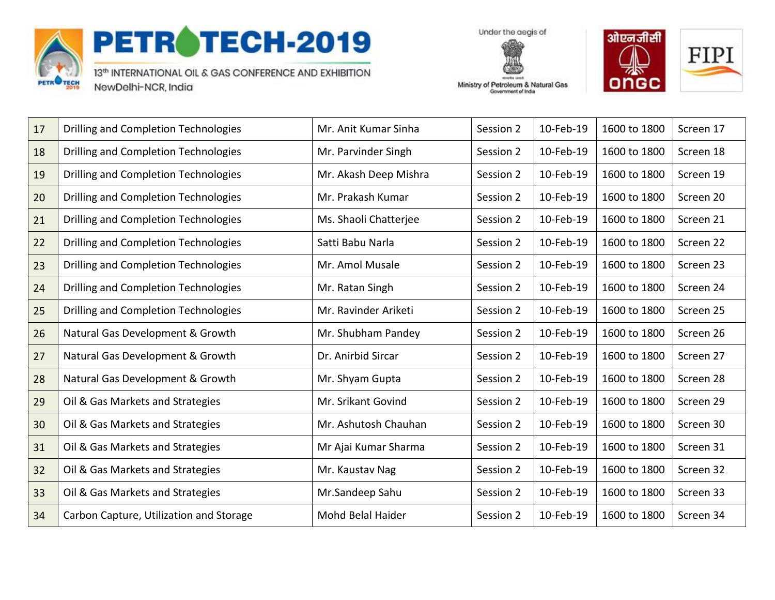

## PETROTECH-2019

13th INTERNATIONAL OIL & GAS CONFERENCE AND EXHIBITION NewDelhi-NCR, India

Under the aegis of Ministry of Petroleum & Natural Gas

Government of India



| 17 | Drilling and Completion Technologies    | Mr. Anit Kumar Sinha  | Session 2 | 10-Feb-19 | 1600 to 1800 | Screen 17 |
|----|-----------------------------------------|-----------------------|-----------|-----------|--------------|-----------|
| 18 | Drilling and Completion Technologies    | Mr. Parvinder Singh   | Session 2 | 10-Feb-19 | 1600 to 1800 | Screen 18 |
| 19 | Drilling and Completion Technologies    | Mr. Akash Deep Mishra | Session 2 | 10-Feb-19 | 1600 to 1800 | Screen 19 |
| 20 | Drilling and Completion Technologies    | Mr. Prakash Kumar     | Session 2 | 10-Feb-19 | 1600 to 1800 | Screen 20 |
| 21 | Drilling and Completion Technologies    | Ms. Shaoli Chatterjee | Session 2 | 10-Feb-19 | 1600 to 1800 | Screen 21 |
| 22 | Drilling and Completion Technologies    | Satti Babu Narla      | Session 2 | 10-Feb-19 | 1600 to 1800 | Screen 22 |
| 23 | Drilling and Completion Technologies    | Mr. Amol Musale       | Session 2 | 10-Feb-19 | 1600 to 1800 | Screen 23 |
| 24 | Drilling and Completion Technologies    | Mr. Ratan Singh       | Session 2 | 10-Feb-19 | 1600 to 1800 | Screen 24 |
| 25 | Drilling and Completion Technologies    | Mr. Ravinder Ariketi  | Session 2 | 10-Feb-19 | 1600 to 1800 | Screen 25 |
| 26 | Natural Gas Development & Growth        | Mr. Shubham Pandey    | Session 2 | 10-Feb-19 | 1600 to 1800 | Screen 26 |
| 27 | Natural Gas Development & Growth        | Dr. Anirbid Sircar    | Session 2 | 10-Feb-19 | 1600 to 1800 | Screen 27 |
| 28 | Natural Gas Development & Growth        | Mr. Shyam Gupta       | Session 2 | 10-Feb-19 | 1600 to 1800 | Screen 28 |
| 29 | Oil & Gas Markets and Strategies        | Mr. Srikant Govind    | Session 2 | 10-Feb-19 | 1600 to 1800 | Screen 29 |
| 30 | Oil & Gas Markets and Strategies        | Mr. Ashutosh Chauhan  | Session 2 | 10-Feb-19 | 1600 to 1800 | Screen 30 |
| 31 | Oil & Gas Markets and Strategies        | Mr Ajai Kumar Sharma  | Session 2 | 10-Feb-19 | 1600 to 1800 | Screen 31 |
| 32 | Oil & Gas Markets and Strategies        | Mr. Kaustav Nag       | Session 2 | 10-Feb-19 | 1600 to 1800 | Screen 32 |
| 33 | Oil & Gas Markets and Strategies        | Mr.Sandeep Sahu       | Session 2 | 10-Feb-19 | 1600 to 1800 | Screen 33 |
| 34 | Carbon Capture, Utilization and Storage | Mohd Belal Haider     | Session 2 | 10-Feb-19 | 1600 to 1800 | Screen 34 |